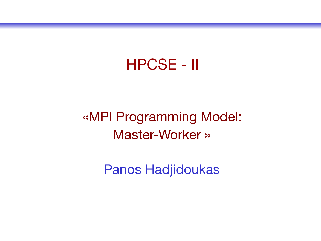#### HPCSE - II

#### «MPI Programming Model: Master-Worker »

Panos Hadjidoukas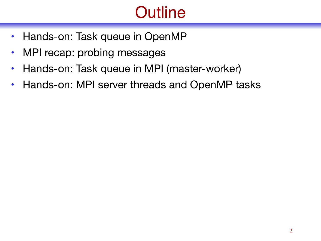# **Outline**

- Hands-on: Task queue in OpenMP
- MPI recap: probing messages
- Hands-on: Task queue in MPI (master-worker)
- Hands-on: MPI server threads and OpenMP tasks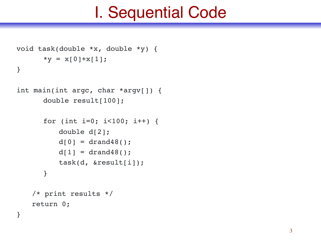## I. Sequential Code

```
void task(double *x, double *y) {
      *y = x[0]+x[1];}
```

```
int main(int argc, char *argv[]) {
      double result[100];
```

```
for (int i=0; i<100; i++) {
   double d[2];
   d[0] = dr and 48();
   d[1] = dr and 48();
   task(d, &result[i]);
}
```

```
/* print results */
return 0;
```
}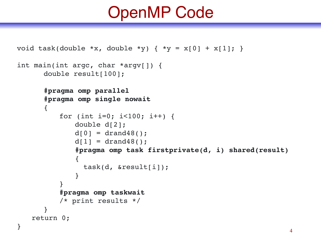## OpenMP Code

```
void task(double *x, double *y) { *y = x[0] + x[1]; }
int main(int argc, char *argv[]) {
     double result[100];
     #pragma omp parallel
     #pragma omp single nowait
     {
        for (int i=0; i<100; i++) {
            double d[2];
            d[0] = drand48();
            d[1] = drand48();
            #pragma omp task firstprivate(d, i) shared(result)
            {
              task(d, &result[i]);
            }
         }
        #pragma omp taskwait
        /* print results */
     }
   return 0;
} 4
```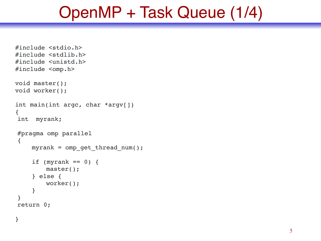## OpenMP + Task Queue (1/4)

```
#include <stdio.h>
#include <stdlib.h>
#include <unistd.h>
#include <omp.h>
void master();
void worker();
int main(int argc, char *argv[])
{
int myrank;
#pragma omp parallel
{
    myrank = omp_get_thread_num();
    if (myrank == 0) {
        master();
    } else {
        worker();
     }
}
return 0;
}
```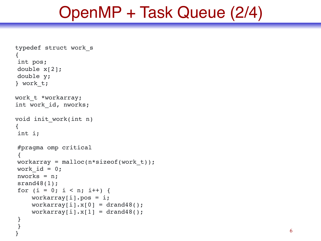## OpenMP + Task Queue (2/4)

```
typedef struct work_s
{
int pos;
double x[2];
double y;
} work_t;
work t *workarray;
int work_id, nworks;
void init_work(int n)
{
int i;
#pragma omp critical
{
workarray = malloc(n*sizeof(work t));
work id = 0;nworks = n;
srand48(1);
for (i = 0; i < n; i++) {
    workarray[i].pos = i;workarray[i].x[0] = drag48();
    workarray[i].x[1] = \text{drand48}();
}
}
```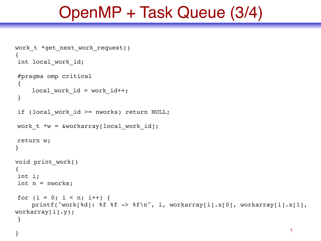## OpenMP + Task Queue (3/4)

```
work t *get next work request()
{
int local work id;
#pragma omp critical
\{local work_id = work_id++;}
if (local work id >= nworks) return NULL;
work t *w = \text{workarray}[\text{local work id}];return w;
}
void print_work()
{
int i;
int n = nworks;
for (i = 0; i < n; i++) {
   printf("work[%d]: %f %f -> %f\n", i, workarray[i].x[0], workarray[i].x[1], 
workarray[i].y);
}
} 7
```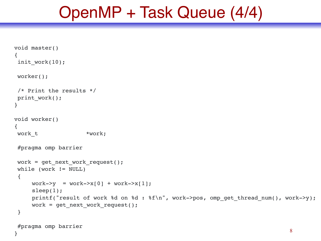## OpenMP + Task Queue (4/4)

```
void master()
{
init work(10);
worker();
/* Print the results */
print_work();
}
void worker()
{
work t *work;
#pragma omp barrier
work = get next work request();
while (work != NULL)
 {
    work \rightarrow y = work \rightarrow x[0] + work \rightarrow x[1];
    sleep(1);
    printf("result of work %d on %d : %f\n", work->pos, omp get thread num(), work->y);
    work = get next work request();
 }
#pragma omp barrier
} 8
```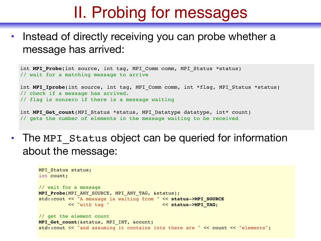## II. Probing for messages

Instead of directly receiving you can probe whether a message has arrived:

```
int MPI Probe(int source, int tag, MPI Comm comm, MPI Status *status)
// wait for a matching message to arrive
int MPI Iprobe(int source, int tag, MPI Comm comm, int *flag, MPI Status *status)
// check if a message has arrived. 
// flag is nonzero if there is a message waiting
```
int MPI Get count (MPI Status \*status, MPI Datatype datatype, int\* count) // gets the number of elements in the message waiting to be received

• The MPI Status object can be queried for information about the message:

```
MPI Status status;
int count;
// wait for a message
MPI_Probe(MPI_ANY_SOURCE, MPI_ANY_TAG, &status);
std::cout << "A message is waiting from " << status->MPI_SOURCE
         << "with tag " << status->MPI_TAG;
// get the element count
MPI_Get_count(&status, MPI_INT, &count)
std:: cout << "and assuming it contains ints there are " << count << "elements";
```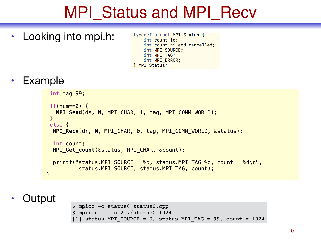## MPI\_Status and MPI\_Recv

• Looking into mpi.h:

typedef struct MPI\_Status { int count lo: int count\_hi\_and\_cancelled; int MPI\_SOURCE; int MPI\_TAG; int MPI\_ERROR; } MPI Status;

**Example** 

```
 int tag=99; 
if(num==0) {
   MPI_Send(ds, N, MPI_CHAR, 1, tag, MPI_COMM_WORLD); 
 } 
 else { 
  MPI_Recv(dr, N, MPI_CHAR, 0, tag, MPI_COMM_WORLD, &status);
  int count; 
  MPI_Get_count(&status, MPI_CHAR, &count); 
 print('status.MPI-SOURCE = %d, status.MPI TAG= %d, count = %d\nstatus.MPI SOURCE, status.MPI TAG, count);
 }
```
**Output** 

```
$ mpicc -o status0 status0.cpp
$ mpirun -l -n 2 ./status0 1024
[1] status.MPI SOURCE = 0, status.MPI TAG = 99, count = 1024
```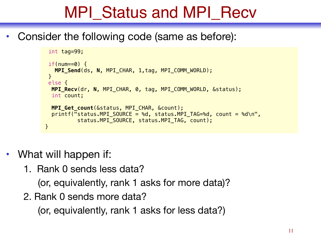# MPI\_Status and MPI\_Recv

• Consider the following code (same as before):

```
 int tag=99; 
if(num==0) {
   MPI_Send(ds, N, MPI_CHAR, 1,tag, MPI_COMM_WORLD);
 } 
 else { 
  MPI_Recv(dr, N, MPI_CHAR, 0, tag, MPI_COMM_WORLD, &status);
  int count; 
  MPI_Get_count(&status, MPI_CHAR, &count);
  print('status.MPI-SOURCE = %d, status.MPI TAG= %d, count = %d\nstatus.MPI SOURCE, status.MPI TAG, count);
 }
```
- What will happen if:
	- 1. Rank 0 sends less data?

(or, equivalently, rank 1 asks for more data)?

2. Rank 0 sends more data?

(or, equivalently, rank 1 asks for less data?)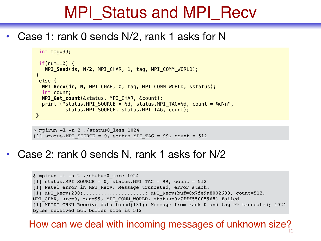## MPI\_Status and MPI\_Recv

• Case 1: rank 0 sends N/2, rank 1 asks for N

```
 int tag=99; 
if(num==0) {
    MPI_Send(ds, N/2, MPI_CHAR, 1, tag, MPI_COMM_WORLD); 
 } 
 else { 
   MPI_Recv(dr, N, MPI_CHAR, 0, tag, MPI_COMM_WORLD, &status);
   int count; 
   MPI_Get_count(&status, MPI_CHAR, &count); 
  printf("status.MPI SOURCE = %d, status.MPI TAG=%d, count = %d\n",
          status.MPI SOURCE, status.MPI TAG, count);
 }
```
\$ mpirun -l -n 2 ./status0\_less 1024 [1] status.MPI SOURCE = 0, status.MPI TAG = 99, count = 512

• Case 2: rank 0 sends N, rank 1 asks for N/2

```
$ mpirun -l -n 2 ./status0_more 1024
[1] status.MPI SOURCE = 0, status.MPI TAG = 99, count = 512
[1] Fatal error in MPI Recv: Message truncated, error stack:
[1] MPI_Recv(200).....................: MPI_Recv(buf=0x7fe9a8002600, count=512, 
MPI CHAR, src=0, tag=99, MPI COMM WORLD, status=0x7fff55005968) failed
[1] MPIDI CH3U Receive data found(131): Message from rank 0 and tag 99 truncated; 1024
bytes received but buffer size is 512
```
#### How can we deal with incoming messages of unknown size?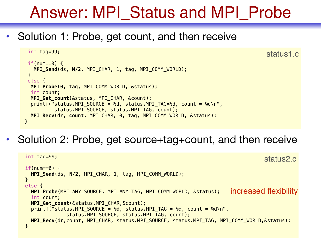## Answer: MPI\_Status and MPI\_Probe

status1.c

• Solution 1: Probe, get count, and then receive

```
 int tag=99; 
 if(num==0) {
   MPI_Send(ds, N/2, MPI_CHAR, 1, tag, MPI_COMM_WORLD); 
  } 
 else {
  MPI_Probe(0, tag, MPI_COMM_WORLD, &status); 
  int count; 
  MPI_Get_count(&status, MPI_CHAR, &count); 
  printf("status.MPI SOURCE = %d, status.MPI TAG=%d, count = %d\n",
          status.MPI SOURCE, status.MPI TAG, count);
  MPI_Recv(dr, count, MPI_CHAR, 0, tag, MPI_COMM_WORLD, &status); 
 }
```
• Solution 2: Probe, get source+tag+count, and then receive

```
 int tag=99; 
if(num==0) {
  MPI_Send(ds, N/2, MPI_CHAR, 1, tag, MPI_COMM_WORLD); 
 } 
 else {
  MPI_Probe(MPI_ANY_SOURCE, MPI_ANY_TAG, MPI_COMM_WORLD, &status); 
  int count; 
  MPI_Get_count(&status,MPI_CHAR,&count); 
  printf("status.MPI SOURCE = %d, status.MPI TAG = %d, count = %d\n",
               status.MPI_SOURCE, status.MPI_TAG, count);
  MPI_Recv(dr,count, MPI_CHAR, status.MPI_SOURCE, status.MPI_TAG, MPI_COMM_WORLD,&status);
 }
                                                                        increased flexibility
                                                                                    status2.c
```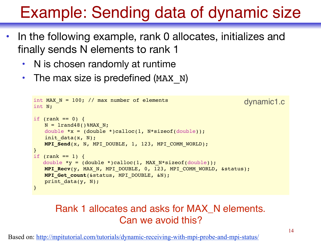## Example: Sending data of dynamic size

- In the following example, rank 0 allocates, initializes and finally sends N elements to rank 1
	- N is chosen randomly at runtime
	- The max size is predefined (MAX N)

```
int MAX N = 100; // max number of elements
int N;
if (rank == 0) {
   N = 1rand48()%MAX N;
   double *x = (double *) called (1, N * size of (double));init data(x, N);
   MPI_Send(x, N, MPI_DOUBLE, 1, 123, MPI_COMM_WORLD);
}
if (rank == 1) {
   double *y = (double *)calloc(1, MAX N*sizeof(double));MPI_Recv(y, MAX_N, MPI_DOUBLE, 0, 123, MPI_COMM_WORLD, &status);
   MPI_Get_count(&status, MPI_DOUBLE, &N);
   print data(y, N);
}
                                                                   dynamic1.c
```
#### Rank 1 allocates and asks for MAX\_N elements. Can we avoid this?

Based on:<http://mpitutorial.com/tutorials/dynamic-receiving-with-mpi-probe-and-mpi-status/>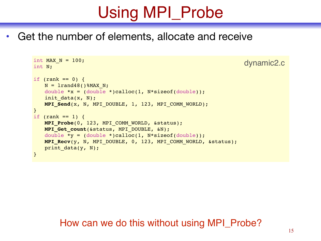# Using MPI\_Probe

• Get the number of elements, allocate and receive

```
int MAX N = 100;
int N;
if (rank == 0) {
   N = 1rand48()%MAX N;
   double *x = (double *)calloc(1, N*sizeof(double));init data(x, N);
   MPI_Send(x, N, MPI_DOUBLE, 1, 123, MPI_COMM_WORLD);
}
if (rank == 1) {
   MPI_Probe(0, 123, MPI_COMM_WORLD, &status);
   MPI_Get_count(&status, MPI_DOUBLE, &N);
   double *y = (double *) calloc(1, N*sizeof(double));MPI_Recv(y, N, MPI_DOUBLE, 0, 123, MPI_COMM_WORLD, &status);
   print data(y, N);
}
```
#### How can we do this without using MPI\_Probe?

dynamic2.c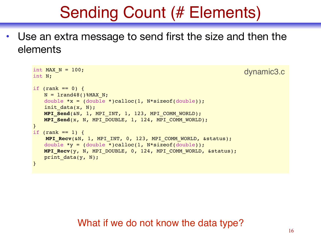## Sending Count (# Elements)

• Use an extra message to send first the size and then the elements

```
int MAX N = 100;
int N;
if (rank == 0) {
   N = 1rand48()%MAX N;
   double *x = (double *)calloc(1, N*sizeof(double));init data(x, N);
   MPI Send(&N, 1, MPI INT, 1, 123, MPI COMM WORLD);
   MPI_Send(x, N, MPI_DOUBLE, 1, 124, MPI_COMM_WORLD);
}
if (rank == 1) {
    MPI_Recv(&N, 1, MPI_INT, 0, 123, MPI_COMM_WORLD, &status);
   double *y = (double *)calloc(1, N*sizeof(double);
   MPI_Recv(y, N, MPI_DOUBLE, 0, 124, MPI_COMM_WORLD, &status);
   print data(y, N);
}
                                                                  dynamic3.c
```
#### What if we do not know the data type?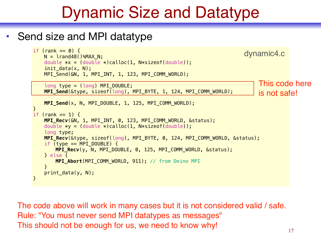## Dynamic Size and Datatype

#### • Send size and MPI datatype

```
if (rank == 0) {
   N = lrand48()%MAX N;
   double *x = (double *)calloc(1, N * sizeof(double));
    init data(x, N);
    MPI_Send(&N, 1, MPI_INT, 1, 123, MPI_COMM_WORLD); 
    long type = (long) MPI DOUBLE; MPI_Send(&type, sizeof(long), MPI_BYTE, 1, 124, MPI_COMM_WORLD); 
    MPI_Send(x, N, MPI_DOUBLE, 1, 125, MPI_COMM_WORLD); 
} 
if (rank == 1) {
    MPI_Recv(&N, 1, MPI_INT, 0, 123, MPI_COMM_WORLD, &status); 
   double *y = (double *) calculate(1, N*sizeof(double)); long type; 
    MPI_Recv(&type, sizeof(long), MPI_BYTE, 0, 124, MPI_COMM_WORLD, &status); 
   if (type == MPI_Double) {
        MPI_Recv(y, N, MPI_DOUBLE, 0, 125, MPI_COMM_WORLD, &status); 
    } else { 
        MPI_Abort(MPI_COMM_WORLD, 911); // from Deino MPI
     } 
    print_data(y, N); 
}
                                                                               This code here 
                                                                               is not safe! 
                                                                          dynamic4.c
```
The code above will work in many cases but it is not considered valid / safe. Rule: "You must never send MPI datatypes as messages" This should not be enough for us, we need to know why!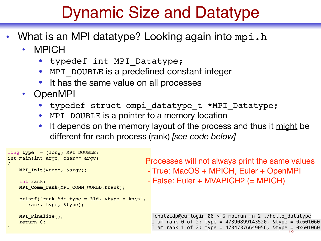## Dynamic Size and Datatype

- What is an MPI datatype? Looking again into mpi.h
	- MPICH
		- typedef int MPI\_Datatype;
		- MPI DOUBLE is a predefined constant integer
		- It has the same value on all processes
	- OpenMPI
		- typedef struct ompi datatype t \*MPI Datatype;
		- MPI DOUBLE is a pointer to a memory location
		- It depends on the memory layout of the process and thus it might be different for each process (rank) *[see code below]*

```
I am rank 1 of 2: type = 47347376649056, &type = 0x601060
long type = (long) MPI DOUBLE;
int main(int argc, char** argv)
{
    MPI_Init(&argc, &argv);
     int rank;
    MPI_Comm_rank(MPI_COMM_WORLD,&rank);
    printf("rank %d: type = %ld, &type = %p\n",
       rank, type, &type);
    MPI_Finalize();
     return 0;
}
                                              Processes will not always print the same values
                                               - True: MacOS + MPICH, Euler + OpenMPI
                                               - False: Euler + MVAPICH2 (= MPICH) 
                                                [chatzidp@eu-login-06 \sim]$ mpirun -n 2./hello_datatype
                                                I am rank 0 of 2: type = 47390899143520, \&type = 0 \times 601060
```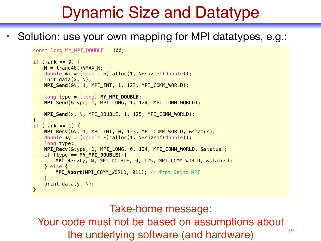## Dynamic Size and Datatype

#### • Solution: use your own mapping for MPI datatypes, e.g.:

```
const long MY MPI DOUBLE = 100;
if (rank == 0) {
   N = lrand48()%MAX N;
   double *x = (double *) calculate(1, N*sizeof(double)); init_data(x, N); 
    MPI_Send(&N, 1, MPI_INT, 1, 123, MPI_COMM_WORLD); 
    long type = (long) MY_MPI_DOUBLE; 
    MPI_Send(&type, 1, MPI_LONG, 1, 124, MPI_COMM_WORLD); 
    MPI_Send(x, N, MPI_DOUBLE, 1, 125, MPI_COMM_WORLD); 
} 
if (rank == 1) {
    MPI_Recv(&N, 1, MPI_INT, 0, 123, MPI_COMM_WORLD, &status); 
   double *y = (double *) calculate(1, N*sizeof(double)); long type; 
    MPI_Recv(&type, 1, MPI_LONG, 0, 124, MPI_COMM_WORLD, &status); 
    if (type == MY MPI DOUBLE) {
        MPI_Recv(y, N, MPI_DOUBLE, 0, 125, MPI_COMM_WORLD, &status); 
    } else { 
        MPI_Abort(MPI_COMM_WORLD, 911); // from Deino MPI
     } 
    print_data(y, N); 
}
```
Take-home message:

Your code must not be based on assumptions about the underlying software (and hardware)

19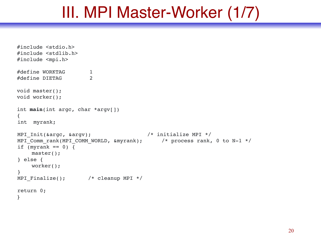### III. MPI Master-Worker (1/7)

```
#include <stdio.h>
#include <stdlib.h>
#include <mpi.h>
#define WORKTAG 1
#define DIETAG 2
void master();
void worker();
int main(int argc, char *argv[])
{
int myrank;
MPI_Init(&argc, &argv); /* initialize MPI */
MPI Comm rank(MPI COMM WORLD, &myrank); /* process rank, 0 to N-1 */
if (myrank == 0) {
   master();
} else {
    worker();
}
MPI Finalize(); /* cleanup MPI */return 0;
}
```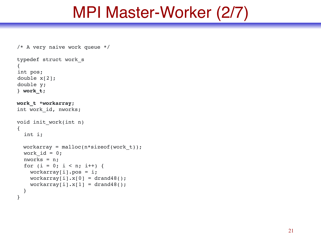## MPI Master-Worker (2/7)

```
/* A very naive work queue */
typedef struct work_s
{
int pos;
double x[2];
double y;
} work_t;
work_t *workarray;
int work_id, nworks;
void init_work(int n)
{
   int i;
 workarray = malloc(n*sizeof(work t));
  work id = 0; nworks = n;
  for (i = 0; i < n; i++) {
    workarray[i].pos = i;workarray[i].x[0] = drag48();workarray[i].x[1] = drag48();
   }
}
```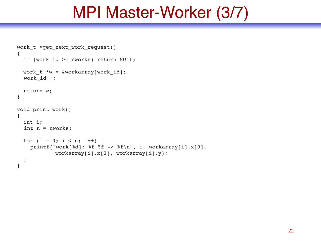## MPI Master-Worker (3/7)

```
work t *get next work request()
{
  if (work id >= nworks) return NULL;
 work t * w = &workarray[work id];
   work_id++;
   return w;
}
void print_work()
{
   int i;
  int n = nworks;
  for (i = 0; i < n; i++) {
    printf("work[%d]: %f %f -> %f\n", i, workarray[i].x[0],
             workarray[i].x[1], workarray[i].y);
   }
}
```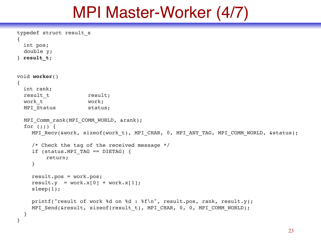### MPI Master-Worker (4/7)

```
typedef struct result_s
{
   int pos;
   double y;
} result_t;
void worker()
{
   int rank;
  result t result;
 work t work;
 MPI Status status;
  MPI Comm rank(MPI COMM WORLD, &rank);
  for (i; j) {
    MPI_Recv(&work, sizeof(work t), MPI_CHAR, 0, MPI_ANY_TAG, MPI_COMM_WORLD, &status);
    /* Check the tag of the received message */if (status. MPI TAG == DIERAG) {
        return;
    }
    result.pos = work.pos;
    result.y = work.x[0] + work.x[1];sleep(1);
    printf("result of work %d on %d : %f\n", result.pos, rank, result.y);
    MPI_Send(&result, sizeof(result t), MPI_CHAR, 0, 0, MPI_COMM_WORLD);
   }
}
```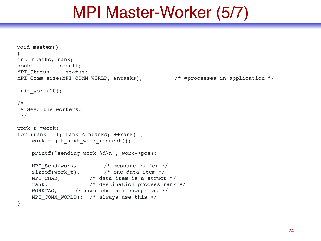### MPI Master-Worker (5/7)

```
void master()
{
int ntasks, rank;
double result;
MPI Status status;
MPI Comm size(MPI COMM WORLD, &ntasks); / /* #processes in application */
init work(10);
/*
  * Seed the workers.
  */
work_t *work;
for (rank = 1; rank < ntasks; ++rank) {
    work = get next work request();
    printf("sending work %d\n", work->pos);
    MPI Send(work, /* message buffer */sizeof(work_t), \frac{1}{2} /* one data item */
    MPI_CHAR, \overline{\qquad} /* data item is a struct */
    rank, /* destination process rank */WORKTAG, /* user chosen message tag */
    MPI COMM WORLD); /* always use this */
}
```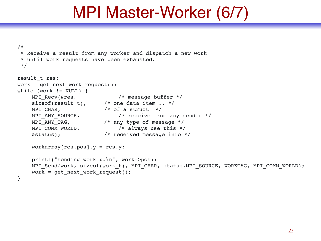## MPI Master-Worker (6/7)

```
/*
  * Receive a result from any worker and dispatch a new work
  * until work requests have been exhausted.
  */
result t res;
work = get next work request();
while (work != NULL) {
     MPI Recv(&res, \overline{\phantom{a}} /* message buffer */
      sizeof(result_t), /* one data item .. */
     MPI_CHAR, \begin{array}{ccc} \n\sqrt{7} & \text{if a struct } * / \n\end{array}<br>
MPI_ANY_SOURCE, \begin{array}{ccc} \n\sqrt{7} & \text{otherwise} & \n\end{array}/* receive from any sender */MPI_ANY_TAG, \begin{array}{ccc} \n\end{array} /* any type of message */<br>
MPI_COMM_WORLD, \begin{array}{ccc} \n\end{array} /* always use this */
                                        /* always use this */&status); /* received message info */
      workarray[res.pos].y = res.y;printf("sending work %d\n", work->pos);
      MPI Send(work, sizeof(work t), MPI CHAR, status.MPI SOURCE, WORKTAG, MPI COMM WORLD);
      work = get next work request();
}
```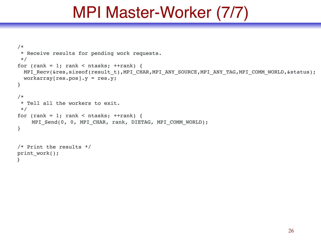## MPI Master-Worker (7/7)

```
/*
  * Receive results for pending work requests.
  */
for (rank = 1; rank < ntasks; ++rank) {
  MPI_Recv(&res,sizeof(result_t),MPI_CHAR,MPI_ANY_SOURCE,MPI_ANY_TAG,MPI_COMM_WORLD,&status);
  workarray[res.pos].y = res.y;
}
/*
  * Tell all the workers to exit.
  */
for (rank = 1; rank < ntasks; ++rank) {
    MPI_Send(0, 0, MPI_CHAR, rank, DIETAG, MPI_COMM_WORLD);
}
/* Print the results */
print_work();
}
```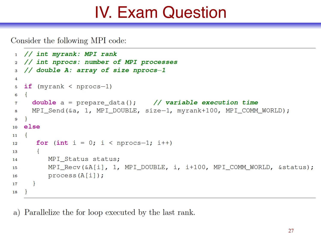## IV. Exam Question

Consider the following MPI code:

```
1 // int myrank: MPI rank
   // int nprocs: number of MPI processes
\overline{2}// double A: array of size nprocs-1
3
4
   if (myrank < nprocs-1)
5
6
     double a = prepare_data(); // variable execution time
7
     MPI Send (&a, 1, MPI DOUBLE, size-1, myrank+100, MPI COMM WORLD);
8
   \mathcal{F}\mathbf{Q}else
10<sup>1</sup>\{11
      for (int i = 0; i < nprocs-1; i++)
12
       \{13
          MPI_Status status;
14
          MPI_Recv(&A[i], 1, MPI_DOUBLE, i, i+100, MPI_COMM_WORLD, & status);
15
          process(A[i]);
16
17
18
```
a) Parallelize the for loop executed by the last rank.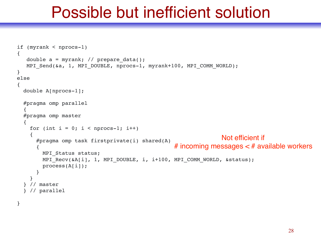## Possible but inefficient solution

```
if (myrank < nprocs-1)
{
    double a = myrank; // prepare_data();
   MPI_Send(&a, 1, MPI_DOUBLE, nprocs-1, myrank+100, MPI_COMM_WORLD);
}
else
{
   double A[nprocs-1];
   #pragma omp parallel
   {
   #pragma omp master
   {
    for (int i = 0; i < nprocs-1; i++) {
      #pragma omp task firstprivate(i) shared(A)
       {
         MPI_Status status;
        MPI Recv(&A[i], 1, MPI DOUBLE, i, i+100, MPI COMM WORLD, &status);
         process(A[i]);
       }
     }
   } // master
   } // parallel
                                                                    Not efficient if 
                                                    # incoming messages \lt # available workers
```
}